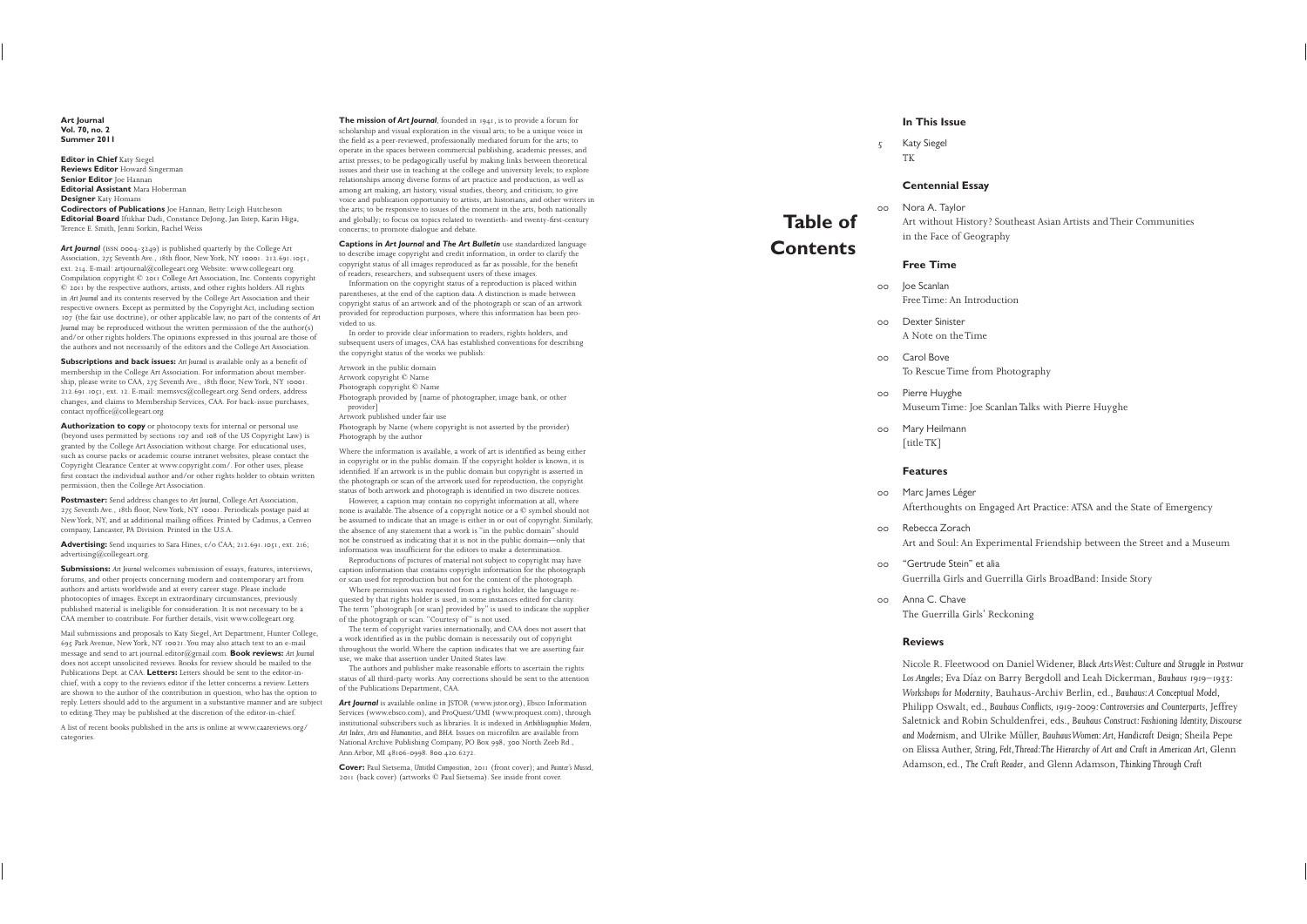#### **In This Issue**

 Katy Siegel TK

### **Centennial Essay**

Art without History? Southeast Asian Artists and Their Communities

 Nora A. Taylor in the Face of Geography

## **Free Time**

- oo loe Scanlan Free Time: An Introduction
- Dexter Sinister A Note on the Time
- Carol Bove To Rescue Time from Photography
- oo Pierre Huyghe
- Mary Heilmann [title TK]

Museum Time: Joe Scanlan Talks with Pierre Huyghe

#### **Features**

Afterthoughts on Engaged Art Practice: ATSA and the State of Emergency

Art and Soul: An Experimental Friendship between the Street and a Museum

- Marc James Léger
- Rebecca Zorach
- "Gertrude Stein" et alia
- Anna C. Chave The Guerrilla Girls' Reckoning

Guerrilla Girls and Guerrilla Girls BroadBand: Inside Story

#### **Reviews**

 Nicole R. Fleetwood on Daniel Widener, *Black Arts West: Culture and Struggle in Postwar Los Angeles*; Eva Díaz on Barry Bergdoll and Leah Dickerman, *Bauhaus 1919–1933: Workshops for Modernity*, Bauhaus-Archiv Berlin, ed., *Bauhaus: A Conceptual Model*, Philipp Oswalt, ed., *Bauhaus Conflicts*, 1919-2009: Controversies and Counterparts, Jeffrey Saletnick and Robin Schuldenfrei, eds., *Bauhaus Construct: Fashioning Identity, Discourse and Modernism*, and Ulrike Müller, *Bauhaus Women: Art, Handicraft Design*; Sheila Pepe on Elissa Auther, *String, Felt, Thread: The Hierarchy of Art and Craft in American Art*, Glenn Adamson*,* ed., *The Craft Reader*, and Glenn Adamson, *Thinking Through Craft*

Art **Journal** (ISSN 0004-3249) is published quarterly by the College Art Association,  $275$  Seventh Ave., 18th floor, New York, NY 10001. 212.691.1051, ext. 214. E-mail: artjournal@collegeart.org. Website: www.collegeart.org. Compilation copyright  $© 2011$  College Art Association, Inc. Contents copyright  $© 2011 by the respective authors, artists, and other rights holders. All rights$ in *Art Journal* and its contents reserved by the College Art Association and their respective owners. Except as permitted by the Copyright Act, including section (the fair use doctrine), or other applicable law, no part of the contents of *Art Journal* may be reproduced without the written permission of the the author(s) and/or other rights holders. The opinions expressed in this journal are those of the authors and not necessarily of the editors and the College Art Association.

**Subscriptions and back issues:** Art Journal is available only as a benefit of membership in the College Art Association. For information about membership, please write to CAA, 275 Seventh Ave., 18th floor, New York, NY 10001. .., ext. . E-mail: memsvcs@collegeart.org. Send orders, address changes, and claims to Membership Services, CAA. For back-issue purchases, contact nyoffice@collegeart.org.

**Table of** 

**Contents**

**Art Journal Vol. 70, no. 2 Summer 2011**

**Editor in Chief** Katy Siegel **Reviews Editor** Howard Singerman **Senior Editor Joe Hannan Editorial Assistant** Mara Hoberman **Designer** Katy Homans **Codirectors of Publications** Joe Hannan, Betty Leigh Hutcheson **Editorial Board** Iftikhar Dadi, Constance DeJong, Jan Estep, Karin Higa, Terence E. Smith, Jenni Sorkin, Rachel Weiss

Advertising: Send inquiries to Sara Hines, c/o CAA; 212.691.1051, ext. 216; advertising@collegeart.org.

**The mission of Art Journal**, founded in 1941, is to provide a forum for scholarship and visual exploration in the visual arts; to be a unique voice in the field as a peer-reviewed, professionally mediated forum for the arts; to operate in the spaces between commercial publishing, academic presses, and artist presses; to be pedagogically useful by making links between theoretical issues and their use in teaching at the college and university levels; to explore relationships among diverse forms of art practice and production, as well as among art making, art history, visual studies, theory, and criticism; to give voice and publication opportunity to artists, art historians, and other writers in the arts; to be responsive to issues of the moment in the arts, both nationally and globally; to focus on topics related to twentieth- and twenty-first-century concerns; to promote dialogue and debate.

**Authorization to copy** or photocopy texts for internal or personal use (beyond uses permitted by sections 107 and 108 of the US Copyright Law) is granted by the College Art Association without charge. For educational uses, such as course packs or academic course intranet websites, please contact the Copyright Clearance Center at www.copyright.com/. For other uses, please first contact the individual author and/or other rights holder to obtain written permission, then the College Art Association.

**Postmaster:** Send address changes to *Art Journal*, College Art Association, 275 Seventh Ave., 18th floor, New York, NY 10001. Periodicals postage paid at New York, NY, and at additional mailing offices. Printed by Cadmus, a Cenveo company, Lancaster, PA Division. Printed in the U.S.A.

**Submissions:** *Art Journal* welcomes submission of essays, features, interviews, forums, and other projects concerning modern and contemporary art from authors and artists worldwide and at every career stage. Please include photocopies of images. Except in extraordinary circumstances, previously published material is ineligible for consideration. It is not necessary to be a CAA member to contribute. For further details, visit www.collegeart.org.

Where permission was requested from a rights holder, the language requested by that rights holder is used, in some instances edited for clarity. The term "photograph [or scan] provided by" is used to indicate the supplier of the photograph or scan. "Courtesy of" is not used.

The term of copyright varies internationally, and CAA does not assert that a work identified as in the public domain is necessarily out of copyright throughout the world. Where the caption indicates that we are asserting fair use, we make that assertion under United States law.

*Art Journal* is available online in JSTOR (www.jstor.org), Ebsco Information Services (www.ebsco.com), and ProQuest/UMI (www.proquest.com), through institutional subscribers such as libraries. It is indexed in *Artbibliographies Modern*, *Art Index, Arts and Humanities, and BHA, Issues on microfilm are available from* National Archive Publishing Company, PO Box 998, 700 North Zeeb Rd., Ann Arbor, MI  $48106 - 0998$ ,  $800.420.6272$ .

Mail submissions and proposals to Katy Siegel, Art Department, Hunter College, 695 Park Avenue, New York, NY 10021. You may also attach text to an e-mail message and send to art.journal.editor@gmail.com. **Book reviews:** *Art Journal* does not accept unsolicited reviews. Books for review should be mailed to the Publications Dept. at CAA. **Letters:** Letters should be sent to the editor-inchief, with a copy to the reviews editor if the letter concerns a review. Letters are shown to the author of the contribution in question, who has the option to reply. Letters should add to the argument in a substantive manner and are subject to editing. They may be published at the discretion of the editor-in-chief.

> **Cover:** Paul Sietsema, *Untitled Composition*, 2011 (front cover); and *Painter's Mussel*, (back cover) (artworks © Paul Sietsema). See inside front cover.

A list of recent books published in the arts is online at www.caareviews.org/ categories.

**Captions in** *Art Journal* **and** *The Art Bulletin* use standardized language to describe image copyright and credit information, in order to clarify the copyright status of all images reproduced as far as possible, for the benefit of readers, researchers, and subsequent users of these images.

Information on the copyright status of a reproduction is placed within parentheses, at the end of the caption data. A distinction is made between copyright status of an artwork and of the photograph or scan of an artwork provided for reproduction purposes, where this information has been provided to us.

In order to provide clear information to readers, rights holders, and subsequent users of images. CAA has established conventions for describing the copyright status of the works we publish:

Artwork in the public domain Artwork copyright © Name Photograph copyright © Name Photograph provided by [name of photographer, image bank, or other provider]

Artwork published under fair use

Photograph by Name (where copyright is not asserted by the provider) Photograph by the author

Where the information is available, a work of art is identified as being either in copyright or in the public domain. If the copyright holder is known, it is identified. If an artwork is in the public domain but copyright is asserted in the photograph or scan of the artwork used for reproduction, the copyright status of both artwork and photograph is identified in two discrete notices.

However, a caption may contain no copyright information at all, where none is available. The absence of a copyright notice or a © symbol should not be assumed to indicate that an image is either in or out of copyright. Similarly, the absence of any statement that a work is "in the public domain" should not be construed as indicating that it is not in the public domain—only that information was insufficient for the editors to make a determination. Reproductions of pictures of material not subject to copyright may have

caption information that contains copyright information for the photograph or scan used for reproduction but not for the content of the photograph.

The authors and publisher make reasonable efforts to ascertain the rights status of all third-party works. Any corrections should be sent to the attention of the Publications Department, CAA.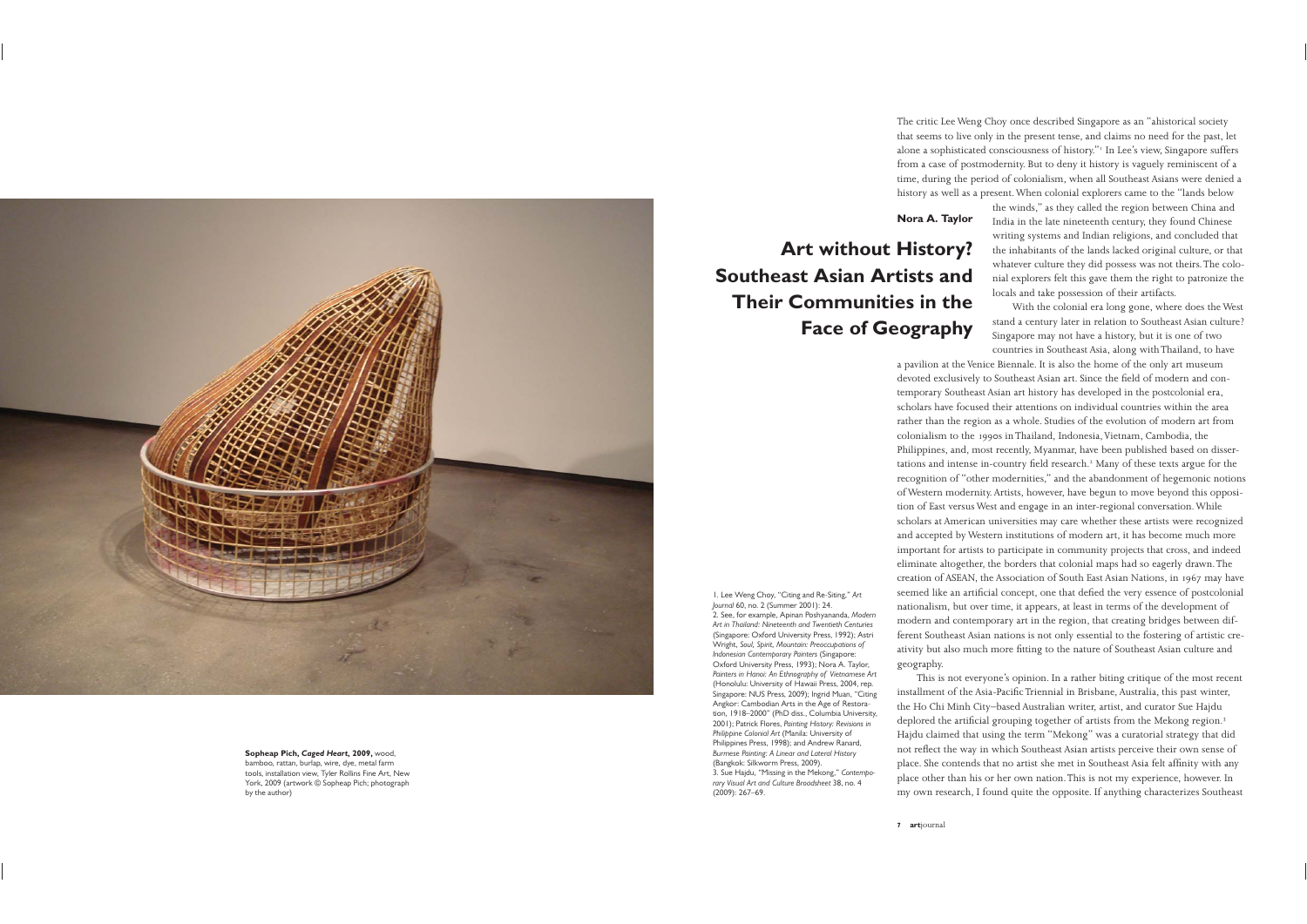**7 art**journal

1. Lee Weng Choy, "Citing and Re-Siting," *Art Journal* 60, no. 2 (Summer 2001): 24.

2. See, for example, Apinan Poshyananda, *Modern Art in Thailand: Nineteenth and Twentieth Centuries* (Singapore: Oxford University Press, 1992); Astri Wright, *Soul, Spirit, Mountain: Preoccupations of Indonesian Contemporary Painters* (Singapore: Oxford University Press, 1993); Nora A. Taylor, *Painters in Hanoi: An Ethnography of Vietnamese Art* (Honolulu: University of Hawaii Press, 2004, rep. Singapore: NUS Press, 2009); Ingrid Muan, "Citing Angkor: Cambodian Arts in the Age of Restoration, 1918–2000" (PhD diss., Columbia University, 2001); Patrick Flores, *Painting History: Revisions in Philippine Colonial Art* (Manila: University of Philippines Press, 1998); and Andrew Ranard. *Burmese Painting: A Linear and Lateral History* (Bangkok: Silkworm Press, 2009).

3. Sue Hajdu, "Missing in the Mekong," *Contemporary Visual Art and Culture Broadsheet* 38, no. 4

 $(2009) \cdot 267 - 69$ 

**Nora A. Taylor**

# **Art without History? Southeast Asian Artists and Their Communities in the Face of Geography**

The critic Lee Weng Choy once described Singapore as an "ahistorical society that seems to live only in the present tense, and claims no need for the past, let alone a sophisticated consciousness of history." In Lee's view, Singapore suffers from a case of postmodernity. But to deny it history is vaguely reminiscent of a time, during the period of colonialism, when all Southeast Asians were denied a history as well as a present. When colonial explorers came to the "lands below

> the winds," as they called the region between China and India in the late nineteenth century, they found Chinese writing systems and Indian religions, and concluded that the inhabitants of the lands lacked original culture, or that whatever culture they did possess was not theirs. The colonial explorers felt this gave them the right to patronize the locals and take possession of their artifacts.

With the colonial era long gone, where does the West stand a century later in relation to Southeast Asian culture? Singapore may not have a history, but it is one of two countries in Southeast Asia, along with Thailand, to have a pavilion at the Venice Biennale. It is also the home of the only art museum devoted exclusively to Southeast Asian art. Since the field of modern and contemporary Southeast Asian art history has developed in the postcolonial era, scholars have focused their attentions on individual countries within the area rather than the region as a whole. Studies of the evolution of modern art from colonialism to the 1990s in Thailand, Indonesia, Vietnam, Cambodia, the Philippines, and, most recently, Myanmar, have been published based on dissertations and intense in-country field research.<sup>2</sup> Many of these texts argue for the recognition of "other modernities," and the abandonment of hegemonic notions of Western modernity. Artists, however, have begun to move beyond this opposition of East versus West and engage in an inter-regional conversation. While scholars at American universities may care whether these artists were recognized and accepted by Western institutions of modern art, it has become much more important for artists to participate in community projects that cross, and indeed eliminate altogether, the borders that colonial maps had so eagerly drawn. The creation of ASEAN, the Association of South East Asian Nations, in 1967 may have seemed like an artificial concept, one that defied the very essence of postcolonial nationalism, but over time, it appears, at least in terms of the development of modern and contemporary art in the region, that creating bridges between different Southeast Asian nations is not only essential to the fostering of artistic creativity but also much more fitting to the nature of Southeast Asian culture and geography.

This is not everyone's opinion. In a rather biting critique of the most recent installment of the Asia-Pacific Triennial in Brisbane, Australia, this past winter, the Ho Chi Minh City–based Australian writer, artist, and curator Sue Hajdu deplored the artificial grouping together of artists from the Mekong region.<sup>3</sup> Hajdu claimed that using the term "Mekong" was a curatorial strategy that did not reflect the way in which Southeast Asian artists perceive their own sense of place. She contends that no artist she met in Southeast Asia felt affinity with any place other than his or her own nation. This is not my experience, however. In my own research, I found quite the opposite. If anything characterizes Southeast

#### **Sopheap Pich,** *Caged Heart***, 2009,** wood, bamboo, rattan, burlap, wire, dye, metal farm tools, installation view, Tyler Rollins Fine Art, New York, 2009 (artwork © Sopheap Pich; photograph by the author)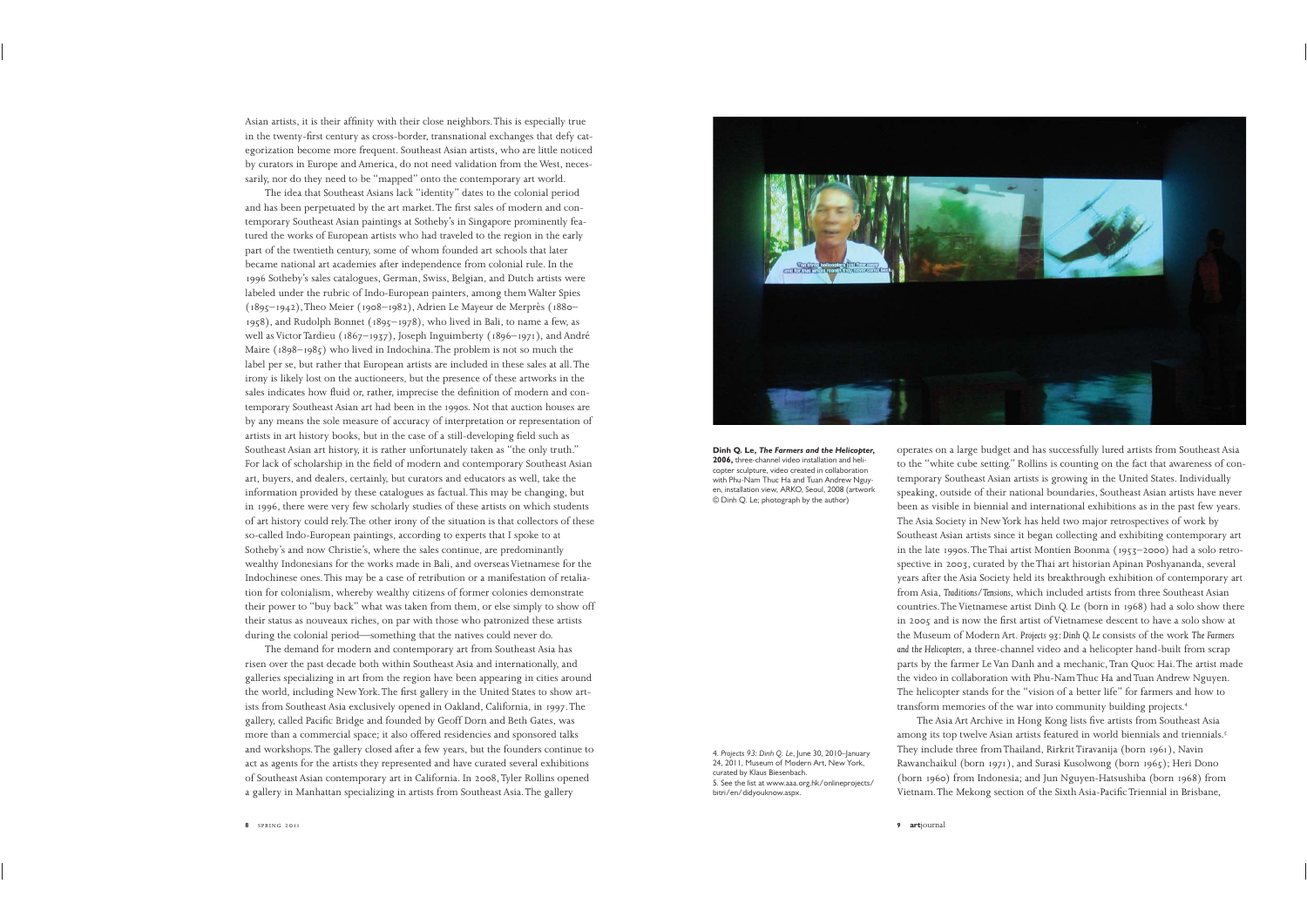4. *Projects 93: Dinh Q. Le*, June 30, 2010–January 24, 2011, Museum of Modern Art, New York, curated by Klaus Biesenbach. 5. See the list at www.aaa.org.hk/onlineprojects/ bitri/en/didyouknow.aspx.

Asian artists, it is their affinity with their close neighbors. This is especially true in the twenty-first century as cross-border, transnational exchanges that defy categorization become more frequent. Southeast Asian artists, who are little noticed by curators in Europe and America, do not need validation from the West, necessarily, nor do they need to be "mapped" onto the contemporary art world.

The idea that Southeast Asians lack "identity" dates to the colonial period and has been perpetuated by the art market. The first sales of modern and contemporary Southeast Asian paintings at Sotheby's in Singapore prominently featured the works of European artists who had traveled to the region in the early part of the twentieth century, some of whom founded art schools that later became national art academies after independence from colonial rule. In the 1996 Sotheby's sales catalogues, German, Swiss, Belgian, and Dutch artists were labeled under the rubric of Indo-European painters, among them Walter Spies ( $1895-1942$ ), Theo Meier ( $1908-1982$ ), Adrien Le Mayeur de Merprès ( $1880-$ 1958), and Rudolph Bonnet (1895–1978), who lived in Bali, to name a few, as well as Victor Tardieu (1867–1937), Joseph Inguimberty (1896–1971), and André Maire ( $1898-1985$ ) who lived in Indochina. The problem is not so much the label per se, but rather that European artists are included in these sales at all. The irony is likely lost on the auctioneers, but the presence of these artworks in the sales indicates how fluid or, rather, imprecise the definition of modern and contemporary Southeast Asian art had been in the 1990s. Not that auction houses are by any means the sole measure of accuracy of interpretation or representation of artists in art history books, but in the case of a still-developing field such as Southeast Asian art history, it is rather unfortunately taken as "the only truth." For lack of scholarship in the field of modern and contemporary Southeast Asian art, buyers, and dealers, certainly, but curators and educators as well, take the information provided by these catalogues as factual. This may be changing, but in 1996, there were very few scholarly studies of these artists on which students of art history could rely. The other irony of the situation is that collectors of these so-called Indo-European paintings, according to experts that I spoke to at Sotheby's and now Christie's, where the sales continue, are predominantly wealthy Indonesians for the works made in Bali, and overseas Vietnamese for the Indochinese ones. This may be a case of retribution or a manifestation of retaliation for colonialism, whereby wealthy citizens of former colonies demonstrate their power to "buy back" what was taken from them, or else simply to show off their status as nouveaux riches, on par with those who patronized these artists during the colonial period—something that the natives could never do.

operates on a large budget and has successfully lured artists from Southeast Asia to the "white cube setting." Rollins is counting on the fact that awareness of contemporary Southeast Asian artists is growing in the United States. Individually speaking, outside of their national boundaries, Southeast Asian artists have never been as visible in biennial and international exhibitions as in the past few years. The Asia Society in New York has held two major retrospectives of work by Southeast Asian artists since it began collecting and exhibiting contemporary art in the late 1990s. The Thai artist Montien Boonma ( $1957-2000$ ) had a solo retrospective in 2003, curated by the Thai art historian Apinan Poshyananda, several years after the Asia Society held its breakthrough exhibition of contemporary art from Asia, *Traditions/Tensions*, which included artists from three Southeast Asian countries. The Vietnamese artist Dinh Q. Le (born in 1968) had a solo show there in 2005 and is now the first artist of Vietnamese descent to have a solo show at the Museum of Modern Art. *Projects 93: Dinh Q. Le* consists of the work *The Farmers and the Helicopters*, a three-channel video and a helicopter hand-built from scrap parts by the farmer Le Van Danh and a mechanic, Tran Quoc Hai. The artist made the video in collaboration with Phu-Nam Thuc Ha and Tuan Andrew Nguyen. The helicopter stands for the "vision of a better life" for farmers and how to transform memories of the war into community building projects. The Asia Art Archive in Hong Kong lists five artists from Southeast Asia among its top twelve Asian artists featured in world biennials and triennials.<sup>5</sup> They include three from Thailand, Rirkrit Tiravanija (born 1961), Navin Rawanchaikul (born 1971), and Surasi Kusolwong (born 1965); Heri Dono (born 1960) from Indonesia; and Jun Nguyen-Hatsushiba (born 1968) from Vietnam. The Mekong section of the Sixth Asia-Pacific Triennial in Brisbane,

The demand for modern and contemporary art from Southeast Asia has risen over the past decade both within Southeast Asia and internationally, and galleries specializing in art from the region have been appearing in cities around the world, including New York. The first gallery in the United States to show artists from Southeast Asia exclusively opened in Oakland, California, in 1997. The gallery, called Pacific Bridge and founded by Geoff Dorn and Beth Gates, was more than a commercial space; it also offered residencies and sponsored talks and workshops. The gallery closed after a few years, but the founders continue to act as agents for the artists they represented and have curated several exhibitions of Southeast Asian contemporary art in California. In 2008, Tyler Rollins opened a gallery in Manhattan specializing in artists from Southeast Asia. The gallery



**Dinh Q. Le,** *The Farmers and the Helicopter***, 2006,** three-channel video installation and helicopter sculpture, video created in collaboration with Phu-Nam Thuc Ha and Tuan Andrew Nguyen, installation view, ARKO, Seoul, 2008 (artwork © Dinh Q. Le; photograph by the author)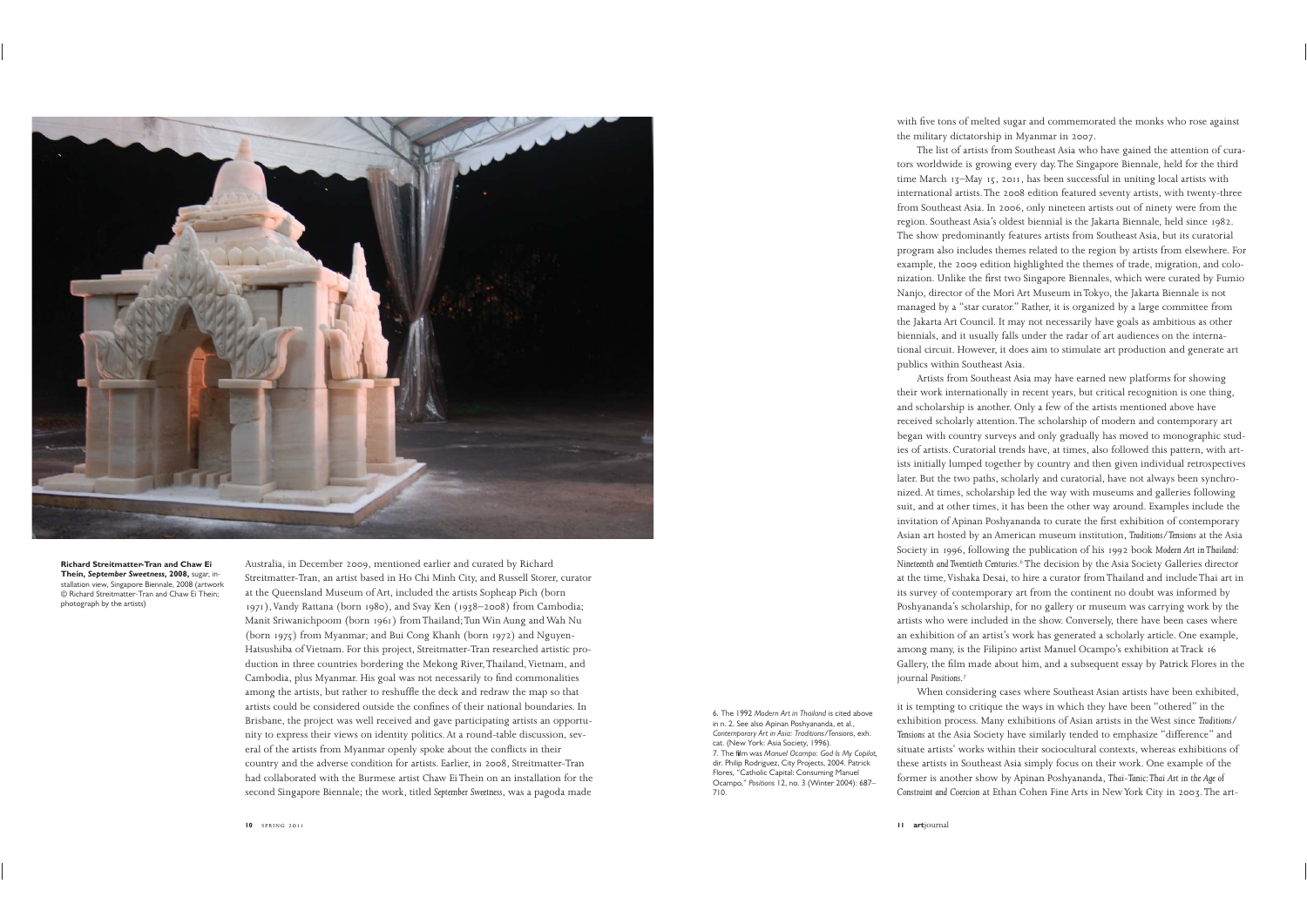with five tons of melted sugar and commemorated the monks who rose against the military dictatorship in Myanmar in 2007.

6. The 1992 *Modern Art in Thailand* is cited above in n. 2. See also Apinan Poshyananda, et al., *Contemporary Art in Asia: Traditions/Tensions*, exh. cat. (New York: Asia Society, 1996). 7. The fi lm was *Manuel Ocampo: God Is My Copilot,*  dir. Philip Rodriguez, City Projects, 2004. Patrick Flores, "Catholic Capital: Consuming Manuel Ocampo," *Positions* 12, no. 3 (Winter 2004): 687– 710.

Australia, in December 2009, mentioned earlier and curated by Richard Streitmatter-Tran, an artist based in Ho Chi Minh City, and Russell Storer, curator at the Queensland Museum of Art, included the artists Sopheap Pich (born 1971), Vandy Rattana (born 1980), and Svay Ken (1938–2008) from Cambodia; Manit Sriwanichpoom (born 1961) from Thailand; Tun Win Aung and Wah Nu (born 1975) from Myanmar; and Bui Cong Khanh (born 1972) and Nguyen-Hatsushiba of Vietnam. For this project, Streitmatter-Tran researched artistic production in three countries bordering the Mekong River, Thailand, Vietnam, and Cambodia, plus Myanmar. His goal was not necessarily to find commonalities among the artists, but rather to reshuffle the deck and redraw the map so that artists could be considered outside the confines of their national boundaries. In Brisbane, the project was well received and gave participating artists an opportunity to express their views on identity politics. At a round-table discussion, several of the artists from Myanmar openly spoke about the conflicts in their country and the adverse condition for artists. Earlier, in 2008. Streitmatter-Tran had collaborated with the Burmese artist Chaw Ei Thein on an installation for the second Singapore Biennale; the work, titled *September Sweetness*, was a pagoda made

When considering cases where Southeast Asian artists have been exhibited, it is tempting to critique the ways in which they have been "othered" in the exhibition process. Many exhibitions of Asian artists in the West since *Traditions/ Tensions* at the Asia Society have similarly tended to emphasize "difference" and situate artists' works within their sociocultural contexts, whereas exhibitions of these artists in Southeast Asia simply focus on their work. One example of the former is another show by Apinan Poshyananda, *Thai-Tanic: Thai Art in the Age of Constraint and Coercion* at Ethan Cohen Fine Arts in New York City in 2003. The art-

The list of artists from Southeast Asia who have gained the attention of curators worldwide is growing every day. The Singapore Biennale, held for the third time March  $I_7$ -May  $I_5$ , 2011, has been successful in uniting local artists with international artists. The 2008 edition featured seventy artists, with twenty-three from Southeast Asia. In 2006, only nineteen artists out of ninety were from the region. Southeast Asia's oldest biennial is the Jakarta Biennale, held since 1982. The show predominantly features artists from Southeast Asia, but its curatorial program also includes themes related to the region by artists from elsewhere. For example, the 2009 edition highlighted the themes of trade, migration, and colonization. Unlike the first two Singapore Biennales, which were curated by Fumio Nanjo, director of the Mori Art Museum in Tokyo, the Jakarta Biennale is not managed by a "star curator." Rather, it is organized by a large committee from the Jakarta Art Council. It may not necessarily have goals as ambitious as other biennials, and it usually falls under the radar of art audiences on the international circuit. However, it does aim to stimulate art production and generate art publics within Southeast Asia.

Artists from Southeast Asia may have earned new platforms for showing their work internationally in recent years, but critical recognition is one thing, and scholarship is another. Only a few of the artists mentioned above have received scholarly attention. The scholarship of modern and contemporary art began with country surveys and only gradually has moved to monographic studies of artists. Curatorial trends have, at times, also followed this pattern, with artists initially lumped together by country and then given individual retrospectives later. But the two paths, scholarly and curatorial, have not always been synchronized. At times, scholarship led the way with museums and galleries following suit, and at other times, it has been the other way around. Examples include the invitation of Apinan Poshyananda to curate the first exhibition of contemporary Asian art hosted by an American museum institution, *Traditions/Tensions* at the Asia Society in 1996, following the publication of his 1992 book *Modern Art in Thailand*: *Nineteenth and Twentieth Centuries*. The decision by the Asia Society Galleries director at the time, Vishaka Desai, to hire a curator from Thailand and include Thai art in its survey of contemporary art from the continent no doubt was informed by Poshyananda's scholarship, for no gallery or museum was carrying work by the artists who were included in the show. Conversely, there have been cases where an exhibition of an artist's work has generated a scholarly article. One example, among many, is the Filipino artist Manuel Ocampo's exhibition at Track Gallery, the film made about him, and a subsequent essay by Patrick Flores in the journal *Positions.*



**Richard Streitmatter-Tran and Chaw Ei Thein,** *September Sweetness***, 2008,** sugar, installation view, Singapore Biennale, 2008 (artwork © Richard Streitmatter-Tran and Chaw Ei Thein; photograph by the artists)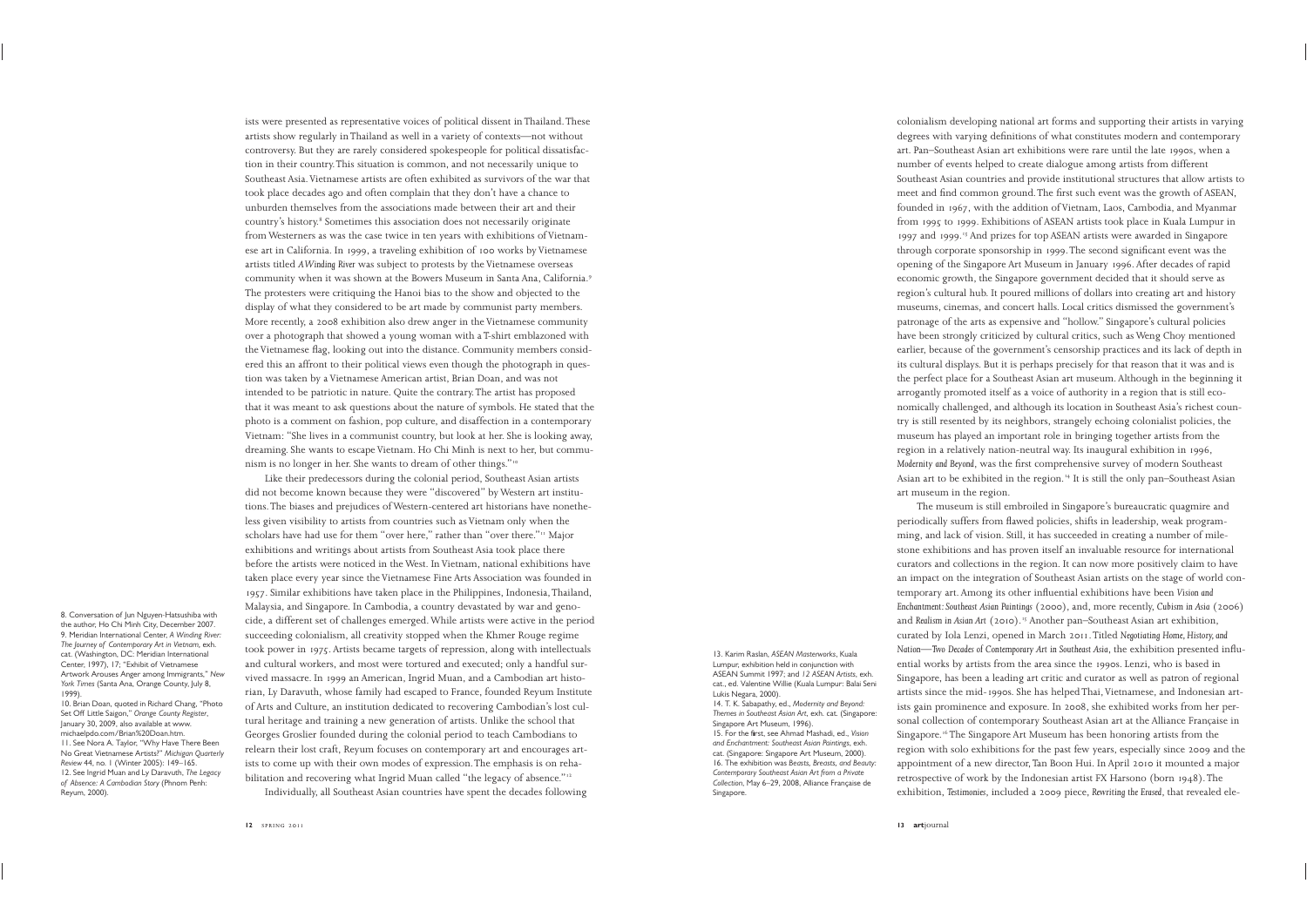13. Karim Raslan, *ASEAN Masterworks*, Kuala Lumpur, exhibition held in conjunction with ASEAN Summit 1997; and *12 ASEAN Artists*, exh. cat., ed. Valentine Willie (Kuala Lumpur: Balai Seni Lukis Negara, 2000). 14. T. K. Sabapathy, ed., *Modernity and Beyond: Themes in Southeast Asian Art*, exh. cat. (Singapore: Singapore Art Museum, 1996). 15. For the fi rst, see Ahmad Mashadi, ed., *Vision and Enchantment: Southeast Asian Paintings*, exh. cat. (Singapore: Singapore Art Museum, 2000). 16. The exhibition was *Beasts, Breasts, and Beauty: Contemporary Southeast Asian Art from a Private Collection*, May 6–29, 2008, Alliance Française de Singapore.

8. Conversation of Jun Nguyen-Hatsushiba with the author, Ho Chi Minh City, December 2007. 9. Meridian International Center, *A Winding River: The Journey of Contemporary Art in Vietnam,* exh. cat. (Washington, DC: Meridian International Center, 1997), 17; "Exhibit of Vietnamese Artwork Arouses Anger among Immigrants," *New York Times* (Santa Ana, Orange County, July 8, 1999).

10. Brian Doan, quoted in Richard Chang, "Photo Set Off Little Saigon," Orange County Register, January 30, 2009, also available at www. michaelpdo.com/Brian%20Doan.htm. 11. See Nora A. Taylor, "Why Have There Been No Great Vietnamese Artists?" *Michigan Quarterly Review* 44, no. 1 (Winter 2005): 149–165. 12. See Ingrid Muan and Ly Daravuth, *The Legacy of Absence: A Cambodian Story* (Phnom Penh: Reyum, 2000).

Like their predecessors during the colonial period, Southeast Asian artists did not become known because they were "discovered" by Western art institutions. The biases and prejudices of Western-centered art historians have nonetheless given visibility to artists from countries such as Vietnam only when the scholars have had use for them "over here," rather than "over there."<sup>11</sup> Major exhibitions and writings about artists from Southeast Asia took place there before the artists were noticed in the West. In Vietnam, national exhibitions have taken place every year since the Vietnamese Fine Arts Association was founded in . Similar exhibitions have taken place in the Philippines, Indonesia, Thailand, Malaysia, and Singapore. In Cambodia, a country devastated by war and genocide, a different set of challenges emerged. While artists were active in the period succeeding colonialism, all creativity stopped when the Khmer Rouge regime took power in 1975. Artists became targets of repression, along with intellectuals and cultural workers, and most were tortured and executed; only a handful survived massacre. In 1999 an American, Ingrid Muan, and a Cambodian art historian, Ly Daravuth, whose family had escaped to France, founded Reyum Institute of Arts and Culture, an institution dedicated to recovering Cambodian's lost cultural heritage and training a new generation of artists. Unlike the school that Georges Groslier founded during the colonial period to teach Cambodians to relearn their lost craft, Reyum focuses on contemporary art and encourages artists to come up with their own modes of expression. The emphasis is on rehabilitation and recovering what Ingrid Muan called "the legacy of absence."<sup>12</sup>

ists were presented as representative voices of political dissent in Thailand. These artists show regularly in Thailand as well in a variety of contexts—not without controversy. But they are rarely considered spokespeople for political dissatisfaction in their country. This situation is common, and not necessarily unique to Southeast Asia. Vietnamese artists are often exhibited as survivors of the war that took place decades ago and often complain that they don't have a chance to unburden themselves from the associations made between their art and their country's history.<sup>8</sup> Sometimes this association does not necessarily originate from Westerners as was the case twice in ten years with exhibitions of Vietnamese art in California. In 1999, a traveling exhibition of 100 works by Vietnamese artists titled *A Winding River* was subject to protests by the Vietnamese overseas community when it was shown at the Bowers Museum in Santa Ana, California. The protesters were critiquing the Hanoi bias to the show and objected to the display of what they considered to be art made by communist party members. More recently, a 2008 exhibition also drew anger in the Vietnamese community over a photograph that showed a young woman with a T-shirt emblazoned with the Vietnamese flag, looking out into the distance. Community members considered this an affront to their political views even though the photograph in question was taken by a Vietnamese American artist, Brian Doan, and was not intended to be patriotic in nature. Quite the contrary. The artist has proposed that it was meant to ask questions about the nature of symbols. He stated that the photo is a comment on fashion, pop culture, and disaffection in a contemporary Vietnam: "She lives in a communist country, but look at her. She is looking away, dreaming. She wants to escape Vietnam. Ho Chi Minh is next to her, but communism is no longer in her. She wants to dream of other things."

> The museum is still embroiled in Singapore's bureaucratic quagmire and periodically suffers from flawed policies, shifts in leadership, weak programming, and lack of vision. Still, it has succeeded in creating a number of milestone exhibitions and has proven itself an invaluable resource for international curators and collections in the region. It can now more positively claim to have an impact on the integration of Southeast Asian artists on the stage of world contemporary art. Among its other influential exhibitions have been *Vision* and *Enchantment: Southeast Asian Paintings* (2000), and, more recently, *Cubism in Asia* (2006) and *Realism in Asian Art* (2010).<sup>15</sup> Another pan–Southeast Asian art exhibition, curated by Iola Lenzi, opened in March 2011. Titled *Negotiating Home*, History, and Nation—Two Decades of Contemporary Art in Southeast Asia, the exhibition presented influential works by artists from the area since the 1990s. Lenzi, who is based in Singapore, has been a leading art critic and curator as well as patron of regional artists since the mid-1990s. She has helped Thai, Vietnamese, and Indonesian artists gain prominence and exposure. In 2008, she exhibited works from her personal collection of contemporary Southeast Asian art at the Alliance Française in Singapore.<sup>16</sup> The Singapore Art Museum has been honoring artists from the region with solo exhibitions for the past few years, especially since 2009 and the appointment of a new director. Tan Boon Hui. In April 2010 it mounted a major retrospective of work by the Indonesian artist FX Harsono (born 1948). The exhibition, *Testimonies*, included a 2009 piece, *Rewriting the Erased*, that revealed ele-

Individually, all Southeast Asian countries have spent the decades following

colonialism developing national art forms and supporting their artists in varying degrees with varying definitions of what constitutes modern and contemporary art. Pan–Southeast Asian art exhibitions were rare until the late 1990s, when a number of events helped to create dialogue among artists from different Southeast Asian countries and provide institutional structures that allow artists to meet and find common ground. The first such event was the growth of ASEAN, founded in 1967, with the addition of Vietnam, Laos, Cambodia, and Myanmar from 1995 to 1999. Exhibitions of ASEAN artists took place in Kuala Lumpur in 1997 and 1999.<sup>13</sup> And prizes for top ASEAN artists were awarded in Singapore through corporate sponsorship in 1999. The second significant event was the opening of the Singapore Art Museum in January 1996. After decades of rapid economic growth, the Singapore government decided that it should serve as region's cultural hub. It poured millions of dollars into creating art and history museums, cinemas, and concert halls. Local critics dismissed the government's patronage of the arts as expensive and "hollow." Singapore's cultural policies have been strongly criticized by cultural critics, such as Weng Choy mentioned earlier, because of the government's censorship practices and its lack of depth in its cultural displays. But it is perhaps precisely for that reason that it was and is the perfect place for a Southeast Asian art museum. Although in the beginning it arrogantly promoted itself as a voice of authority in a region that is still economically challenged, and although its location in Southeast Asia's richest country is still resented by its neighbors, strangely echoing colonialist policies, the museum has played an important role in bringing together artists from the region in a relatively nation-neutral way. Its inaugural exhibition in 1996, Modernity and Beyond, was the first comprehensive survey of modern Southeast Asian art to be exhibited in the region.<sup>14</sup> It is still the only pan–Southeast Asian art museum in the region.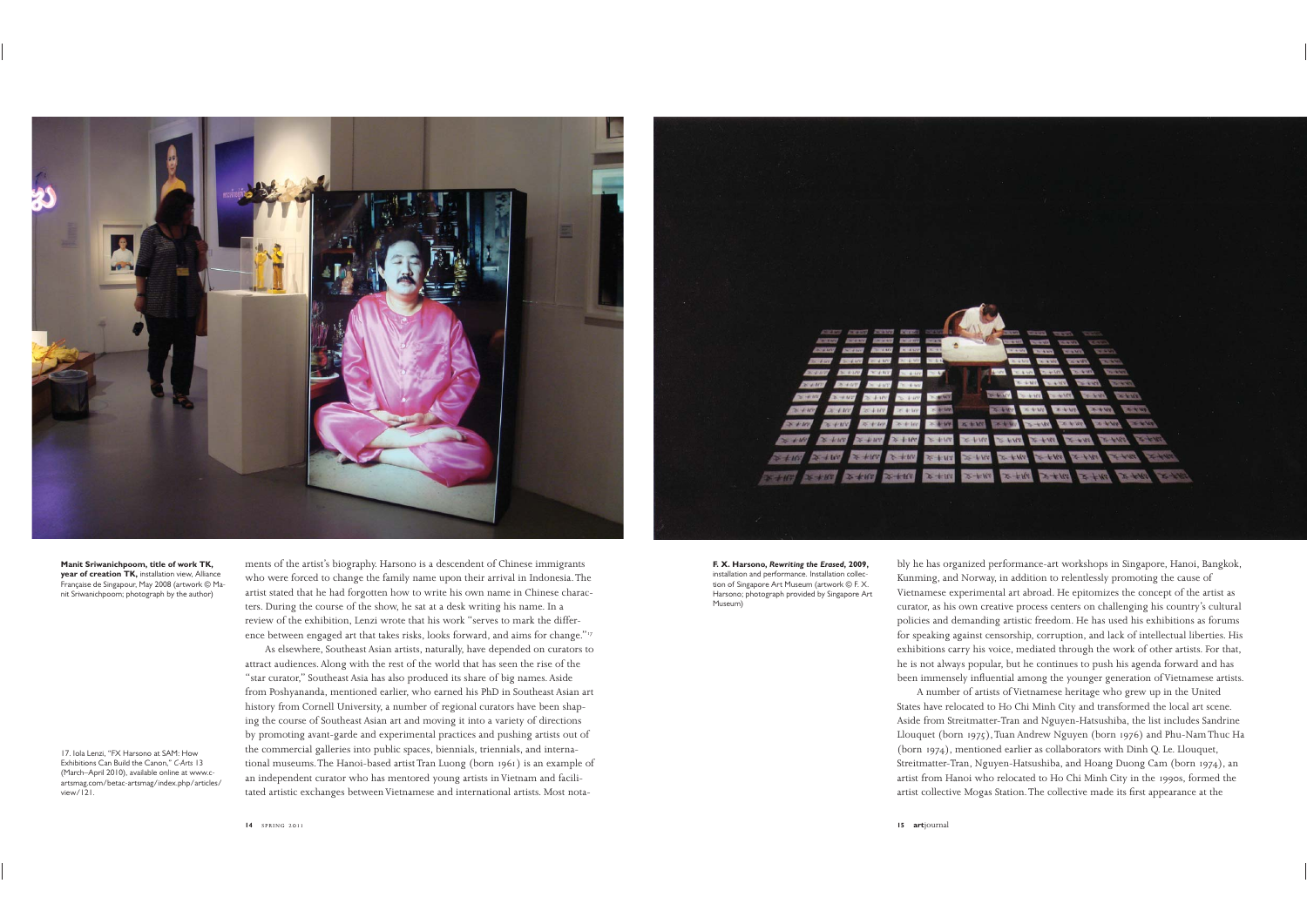17. Iola Lenzi, "FX Harsono at SAM: How Exhibitions Can Build the Canon," *C-Arts* 13 (March–April 2010), available online at www.cartsmag.com/betac-artsmag/index.php/articles/ view/121.

ments of the artist's biography. Harsono is a descendent of Chinese immigrants who were forced to change the family name upon their arrival in Indonesia. The artist stated that he had forgotten how to write his own name in Chinese characters. During the course of the show, he sat at a desk writing his name. In a review of the exhibition, Lenzi wrote that his work "serves to mark the difference between engaged art that takes risks, looks forward, and aims for change."

bly he has organized performance-art workshops in Singapore, Hanoi, Bangkok, Kunming, and Norway, in addition to relentlessly promoting the cause of Vietnamese experimental art abroad. He epitomizes the concept of the artist as curator, as his own creative process centers on challenging his country's cultural policies and demanding artistic freedom. He has used his exhibitions as forums for speaking against censorship, corruption, and lack of intellectual liberties. His exhibitions carry his voice, mediated through the work of other artists. For that, he is not always popular, but he continues to push his agenda forward and has been immensely influential among the younger generation of Vietnamese artists. A number of artists of Vietnamese heritage who grew up in the United States have relocated to Ho Chi Minh City and transformed the local art scene. Aside from Streitmatter-Tran and Nguyen-Hatsushiba, the list includes Sandrine Llouquet (born 1975), Tuan Andrew Nguyen (born 1976) and Phu-Nam Thuc Ha (born 1974), mentioned earlier as collaborators with Dinh Q. Le. Llouquet, Streitmatter-Tran, Nguyen-Hatsushiba, and Hoang Duong Cam (born 1974), an artist from Hanoi who relocated to Ho Chi Minh City in the 1990s, formed the artist collective Mogas Station. The collective made its first appearance at the

As elsewhere, Southeast Asian artists, naturally, have depended on curators to attract audiences. Along with the rest of the world that has seen the rise of the "star curator," Southeast Asia has also produced its share of big names. Aside from Poshyananda, mentioned earlier, who earned his PhD in Southeast Asian art history from Cornell University, a number of regional curators have been shaping the course of Southeast Asian art and moving it into a variety of directions by promoting avant-garde and experimental practices and pushing artists out of the commercial galleries into public spaces, biennials, triennials, and international museums. The Hanoi-based artist Tran Luong (born 1961) is an example of an independent curator who has mentored young artists in Vietnam and facilitated artistic exchanges between Vietnamese and international artists. Most nota-





**Manit Sriwanichpoom, title of work TK, year of creation TK,** installation view, Alliance Française de Singapour, May 2008 (artwork © Manit Sriwanichpoom; photograph by the author)

**F. X. Harsono,** *Rewriting the Erased***, 2009,** installation and performance. Installation collection of Singapore Art Museum (artwork © F. X. Harsono; photograph provided by Singapore Art Museum)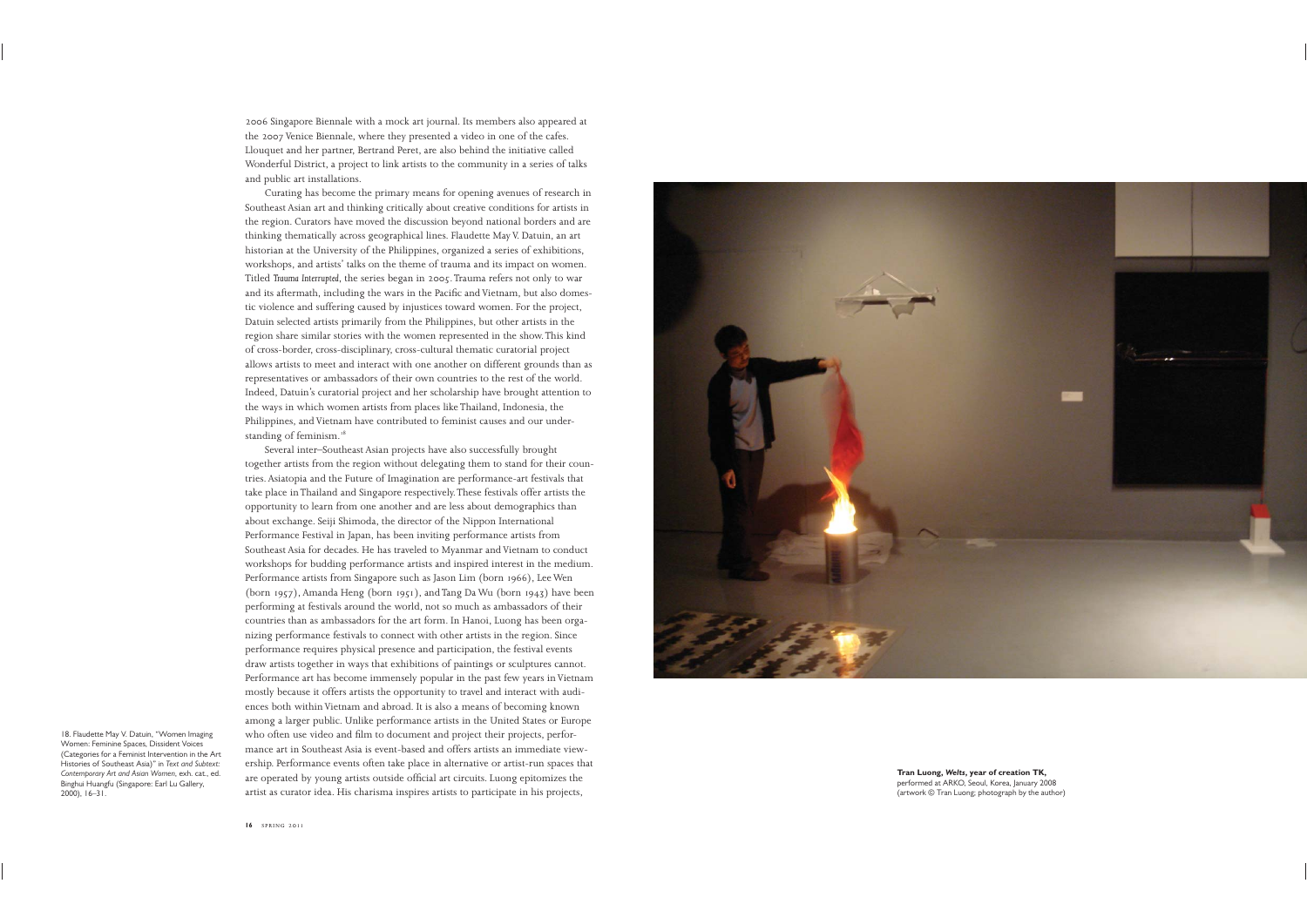18. Flaudette May V. Datuin, "Women Imaging Women: Feminine Spaces, Dissident Voices (Categories for a Feminist Intervention in the Art Histories of Southeast Asia)" in *Text and Subtext: Contemporary Art and Asian Women*, exh. cat., ed. Binghui Huangfu (Singapore: Earl Lu Gallery, 2000), 16–31.

2006 Singapore Biennale with a mock art journal. Its members also appeared at the 2007 Venice Biennale, where they presented a video in one of the cafes. Llouquet and her partner, Bertrand Peret, are also behind the initiative called Wonderful District, a project to link artists to the community in a series of talks and public art installations.

Curating has become the primary means for opening avenues of research in Southeast Asian art and thinking critically about creative conditions for artists in the region. Curators have moved the discussion beyond national borders and are thinking thematically across geographical lines. Flaudette May V. Datuin, an art historian at the University of the Philippines, organized a series of exhibitions, workshops, and artists' talks on the theme of trauma and its impact on women. Titled Trauma Interrupted, the series began in 2005. Trauma refers not only to war and its aftermath, including the wars in the Pacific and Vietnam, but also domestic violence and suffering caused by injustices toward women. For the project, Datuin selected artists primarily from the Philippines, but other artists in the region share similar stories with the women represented in the show. This kind of cross-border, cross-disciplinary, cross-cultural thematic curatorial project allows artists to meet and interact with one another on different grounds than as representatives or ambassadors of their own countries to the rest of the world. Indeed, Datuin's curatorial project and her scholarship have brought attention to the ways in which women artists from places like Thailand, Indonesia, the Philippines, and Vietnam have contributed to feminist causes and our understanding of feminism.

Several inter–Southeast Asian projects have also successfully brought together artists from the region without delegating them to stand for their countries. Asiatopia and the Future of Imagination are performance-art festivals that take place in Thailand and Singapore respectively. These festivals offer artists the opportunity to learn from one another and are less about demographics than about exchange. Seiji Shimoda, the director of the Nippon International Performance Festival in Japan, has been inviting performance artists from Southeast Asia for decades. He has traveled to Myanmar and Vietnam to conduct workshops for budding performance artists and inspired interest in the medium. Performance artists from Singapore such as Jason Lim (born 1966), Lee Wen (born 1957), Amanda Heng (born 1951), and Tang Da Wu (born 1943) have been performing at festivals around the world, not so much as ambassadors of their countries than as ambassadors for the art form. In Hanoi, Luong has been organizing performance festivals to connect with other artists in the region. Since performance requires physical presence and participation, the festival events draw artists together in ways that exhibitions of paintings or sculptures cannot. Performance art has become immensely popular in the past few years in Vietnam mostly because it offers artists the opportunity to travel and interact with audiences both within Vietnam and abroad. It is also a means of becoming known among a larger public. Unlike performance artists in the United States or Europe who often use video and film to document and project their projects, performance art in Southeast Asia is event-based and offers artists an immediate viewership. Performance events often take place in alternative or artist-run spaces that are operated by young artists outside official art circuits. Luong epitomizes the artist as curator idea. His charisma inspires artists to participate in his projects,



**Tran Luong,** *Welts***, year of creation TK,** performed at ARKO, Seoul, Korea, January 2008 (artwork © Tran Luong; photograph by the author)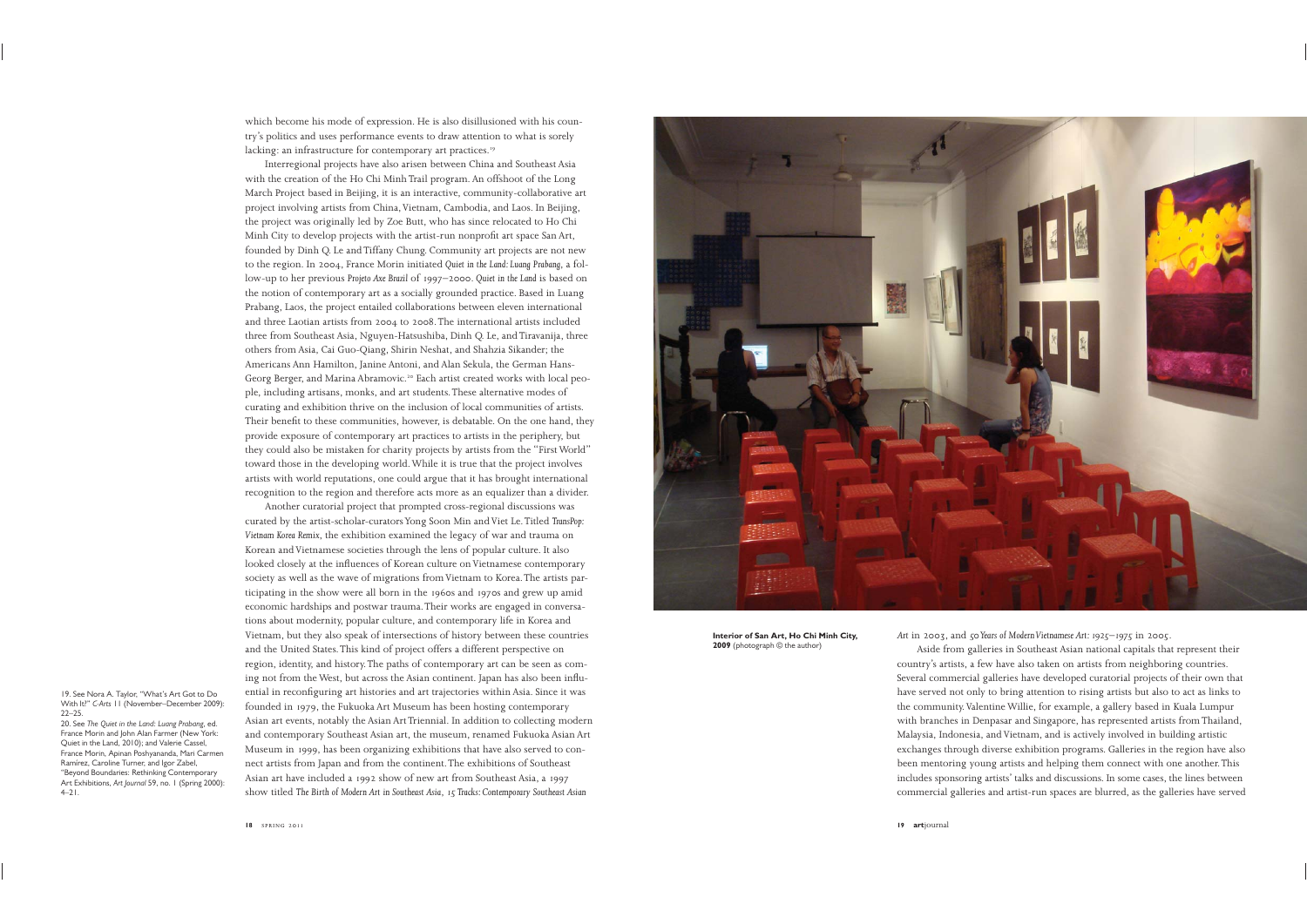**18 19 art**journal



20. See *The Quiet in the Land: Luang Prabang*, ed. France Morin and John Alan Farmer (New York: Quiet in the Land, 2010); and Valerie Cassel France Morin, Apinan Poshyananda, Mari Carmen Ramírez, Caroline Turner, and Igor Zabel, "Beyond Boundaries: Rethinking Contemporary Art Exhibitions, *Art Journal* 59, no. 1 (Spring 2000):  $4 - 21$ 

19. See Nora A. Taylor, "What's Art Got to Do With It?" *C-Arts* 11 (November–December 2009): 22–25.

which become his mode of expression. He is also disillusioned with his country's politics and uses performance events to draw attention to what is sorely lacking: an infrastructure for contemporary art practices.

Interregional projects have also arisen between China and Southeast Asia with the creation of the Ho Chi Minh Trail program. An offshoot of the Long March Project based in Beijing, it is an interactive, community-collaborative art project involving artists from China, Vietnam, Cambodia, and Laos. In Beijing, the project was originally led by Zoe Butt, who has since relocated to Ho Chi Minh City to develop projects with the artist-run nonprofit art space San Art, founded by Dinh Q. Le and Tiffany Chung. Community art projects are not new to the region. In 2004, France Morin initiated Quiet in the Land: Luang Prabang, a follow-up to her previous Projeto Axe Brazil of 1997-2000. Quiet in the Land is based on the notion of contemporary art as a socially grounded practice. Based in Luang Prabang, Laos, the project entailed collaborations between eleven international and three Laotian artists from 2004 to 2008. The international artists included three from Southeast Asia, Nguyen-Hatsushiba, Dinh Q. Le, and Tiravanija, three others from Asia, Cai Guo-Qiang, Shirin Neshat, and Shahzia Sikander; the Americans Ann Hamilton, Janine Antoni, and Alan Sekula, the German Hans-Georg Berger, and Marina Abramovic.<sup>20</sup> Each artist created works with local people, including artisans, monks, and art students. These alternative modes of curating and exhibition thrive on the inclusion of local communities of artists. Their benefit to these communities, however, is debatable. On the one hand, they provide exposure of contemporary art practices to artists in the periphery, but they could also be mistaken for charity projects by artists from the "First World" toward those in the developing world. While it is true that the project involves artists with world reputations, one could argue that it has brought international recognition to the region and therefore acts more as an equalizer than a divider.

> Art in 2003, and 50 Years of Modern Vietnamese Art: 1925–1975 in 2005. Aside from galleries in Southeast Asian national capitals that represent their country's artists, a few have also taken on artists from neighboring countries. Several commercial galleries have developed curatorial projects of their own that have served not only to bring attention to rising artists but also to act as links to the community. Valentine Willie, for example, a gallery based in Kuala Lumpur with branches in Denpasar and Singapore, has represented artists from Thailand, Malaysia, Indonesia, and Vietnam, and is actively involved in building artistic exchanges through diverse exhibition programs. Galleries in the region have also been mentoring young artists and helping them connect with one another. This includes sponsoring artists' talks and discussions. In some cases, the lines between commercial galleries and artist-run spaces are blurred, as the galleries have served

Another curatorial project that prompted cross-regional discussions was curated by the artist-scholar-curators Yong Soon Min and Viet Le. Titled *TransPop: Vietnam Korea Remix*, the exhibition examined the legacy of war and trauma on Korean and Vietnamese societies through the lens of popular culture. It also looked closely at the influences of Korean culture on Vietnamese contemporary society as well as the wave of migrations from Vietnam to Korea. The artists participating in the show were all born in the 1960s and 1970s and grew up amid economic hardships and postwar trauma. Their works are engaged in conversations about modernity, popular culture, and contemporary life in Korea and Vietnam, but they also speak of intersections of history between these countries and the United States. This kind of project offers a different perspective on region, identity, and history. The paths of contemporary art can be seen as coming not from the West, but across the Asian continent. Japan has also been influential in reconfiguring art histories and art trajectories within Asia. Since it was founded in 1979, the Fukuoka Art Museum has been hosting contemporary Asian art events, notably the Asian Art Triennial. In addition to collecting modern and contemporary Southeast Asian art, the museum, renamed Fukuoka Asian Art Museum in 1999, has been organizing exhibitions that have also served to connect artists from Japan and from the continent. The exhibitions of Southeast Asian art have included a 1992 show of new art from Southeast Asia, a 1997 show titled *The Birth of Modern Art in Southeast Asia*, *15 Tracks: Contemporary Southeast Asian* 

**Interior of San Art, Ho Chi Minh City, 2009** (photograph © the author)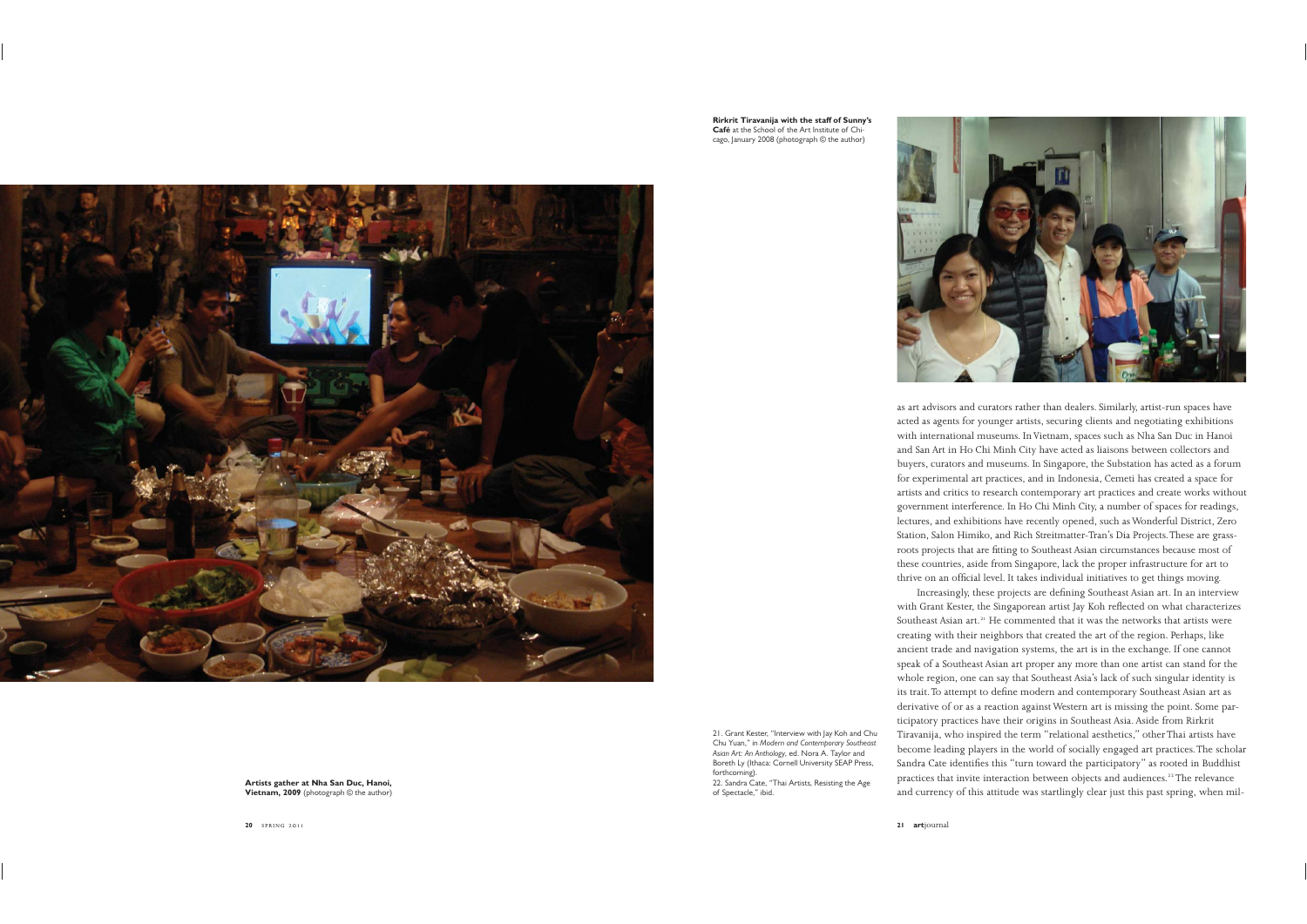**20 21 art**journal

as art advisors and curators rather than dealers. Similarly, artist-run spaces have acted as agents for younger artists, securing clients and negotiating exhibitions with international museums. In Vietnam, spaces such as Nha San Duc in Hanoi and San Art in Ho Chi Minh City have acted as liaisons between collectors and buyers, curators and museums. In Singapore, the Substation has acted as a forum for experimental art practices, and in Indonesia, Cemeti has created a space for artists and critics to research contemporary art practices and create works without government interference. In Ho Chi Minh City, a number of spaces for readings, lectures, and exhibitions have recently opened, such as Wonderful District, Zero Station, Salon Himiko, and Rich Streitmatter-Tran's Dia Projects. These are grassroots projects that are fitting to Southeast Asian circumstances because most of these countries, aside from Singapore, lack the proper infrastructure for art to thrive on an official level. It takes individual initiatives to get things moving. Increasingly, these projects are defining Southeast Asian art. In an interview with Grant Kester, the Singaporean artist Jay Koh reflected on what characterizes Southeast Asian art.<sup>21</sup> He commented that it was the networks that artists were creating with their neighbors that created the art of the region. Perhaps, like ancient trade and navigation systems, the art is in the exchange. If one cannot speak of a Southeast Asian art proper any more than one artist can stand for the whole region, one can say that Southeast Asia's lack of such singular identity is its trait. To attempt to define modern and contemporary Southeast Asian art as derivative of or as a reaction against Western art is missing the point. Some participatory practices have their origins in Southeast Asia. Aside from Rirkrit Tiravanija, who inspired the term "relational aesthetics," other Thai artists have become leading players in the world of socially engaged art practices. The scholar Sandra Cate identifies this "turn toward the participatory" as rooted in Buddhist practices that invite interaction between objects and audiences.<sup>22</sup> The relevance

21. Grant Kester, "Interview with Jay Koh and Chu Chu Yuan," in *Modern and Contemporary Southeast Asian Art: An Anthology*, ed. Nora A. Taylor and Boreth Ly (Ithaca: Cornell University SEAP Press, forthcoming). 22. Sandra Cate, "Thai Artists, Resisting the Age of Spectacle," ibid.



and currency of this attitude was startlingly clear just this past spring, when mil-

**Artists gather at Nha San Duc, Hanoi, Vietnam, 2009** (photograph © the author)

**Rirkrit Tiravanija with the sta! of Sunny's Café** at the School of the Art Institute of Chicago, January 2008 (photograph © the author)